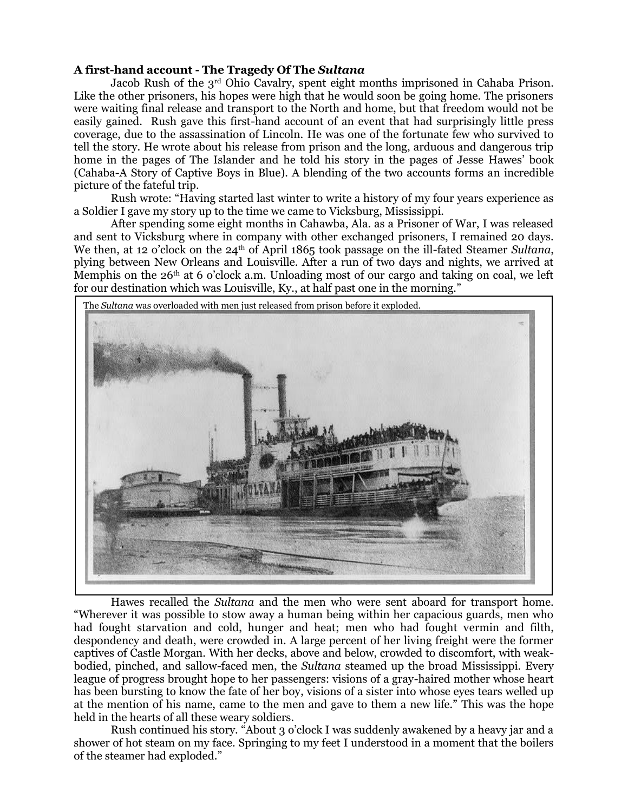## **A first-hand account - The Tragedy Of The** *Sultana*

Jacob Rush of the 3rd Ohio Cavalry, spent eight months imprisoned in Cahaba Prison. Like the other prisoners, his hopes were high that he would soon be going home. The prisoners were waiting final release and transport to the North and home, but that freedom would not be easily gained. Rush gave this first-hand account of an event that had surprisingly little press coverage, due to the assassination of Lincoln. He was one of the fortunate few who survived to tell the story. He wrote about his release from prison and the long, arduous and dangerous trip home in the pages of The Islander and he told his story in the pages of Jesse Hawes' book (Cahaba-A Story of Captive Boys in Blue). A blending of the two accounts forms an incredible picture of the fateful trip.

Rush wrote: "Having started last winter to write a history of my four years experience as a Soldier I gave my story up to the time we came to Vicksburg, Mississippi.

After spending some eight months in Cahawba, Ala. as a Prisoner of War, I was released and sent to Vicksburg where in company with other exchanged prisoners, I remained 20 days. We then, at 12 o'clock on the 24th of April 1865 took passage on the ill-fated Steamer *Sultana*, plying between New Orleans and Louisville. After a run of two days and nights, we arrived at Memphis on the  $26<sup>th</sup>$  at 6 o'clock a.m. Unloading most of our cargo and taking on coal, we left for our destination which was Louisville, Ky., at half past one in the morning."



Hawes recalled the *Sultana* and the men who were sent aboard for transport home. "Wherever it was possible to stow away a human being within her capacious guards, men who had fought starvation and cold, hunger and heat; men who had fought vermin and filth, despondency and death, were crowded in. A large percent of her living freight were the former captives of Castle Morgan. With her decks, above and below, crowded to discomfort, with weakbodied, pinched, and sallow-faced men, the *Sultana* steamed up the broad Mississippi. Every league of progress brought hope to her passengers: visions of a gray-haired mother whose heart has been bursting to know the fate of her boy, visions of a sister into whose eyes tears welled up at the mention of his name, came to the men and gave to them a new life." This was the hope held in the hearts of all these weary soldiers.

Rush continued his story. "About 3 o'clock I was suddenly awakened by a heavy jar and a shower of hot steam on my face. Springing to my feet I understood in a moment that the boilers of the steamer had exploded."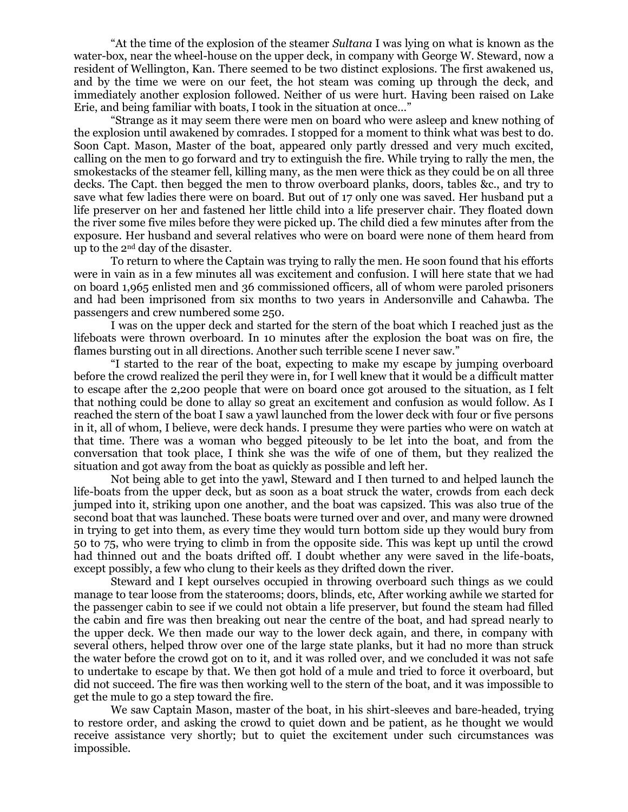"At the time of the explosion of the steamer *Sultana* I was lying on what is known as the water-box, near the wheel-house on the upper deck, in company with George W. Steward, now a resident of Wellington, Kan. There seemed to be two distinct explosions. The first awakened us, and by the time we were on our feet, the hot steam was coming up through the deck, and immediately another explosion followed. Neither of us were hurt. Having been raised on Lake Erie, and being familiar with boats, I took in the situation at once…"

"Strange as it may seem there were men on board who were asleep and knew nothing of the explosion until awakened by comrades. I stopped for a moment to think what was best to do. Soon Capt. Mason, Master of the boat, appeared only partly dressed and very much excited, calling on the men to go forward and try to extinguish the fire. While trying to rally the men, the smokestacks of the steamer fell, killing many, as the men were thick as they could be on all three decks. The Capt. then begged the men to throw overboard planks, doors, tables &c., and try to save what few ladies there were on board. But out of 17 only one was saved. Her husband put a life preserver on her and fastened her little child into a life preserver chair. They floated down the river some five miles before they were picked up. The child died a few minutes after from the exposure. Her husband and several relatives who were on board were none of them heard from up to the 2nd day of the disaster.

To return to where the Captain was trying to rally the men. He soon found that his efforts were in vain as in a few minutes all was excitement and confusion. I will here state that we had on board 1,965 enlisted men and 36 commissioned officers, all of whom were paroled prisoners and had been imprisoned from six months to two years in Andersonville and Cahawba. The passengers and crew numbered some 250.

I was on the upper deck and started for the stern of the boat which I reached just as the lifeboats were thrown overboard. In 10 minutes after the explosion the boat was on fire, the flames bursting out in all directions. Another such terrible scene I never saw."

"I started to the rear of the boat, expecting to make my escape by jumping overboard before the crowd realized the peril they were in, for I well knew that it would be a difficult matter to escape after the 2,200 people that were on board once got aroused to the situation, as I felt that nothing could be done to allay so great an excitement and confusion as would follow. As I reached the stern of the boat I saw a yawl launched from the lower deck with four or five persons in it, all of whom, I believe, were deck hands. I presume they were parties who were on watch at that time. There was a woman who begged piteously to be let into the boat, and from the conversation that took place, I think she was the wife of one of them, but they realized the situation and got away from the boat as quickly as possible and left her.

Not being able to get into the yawl, Steward and I then turned to and helped launch the life-boats from the upper deck, but as soon as a boat struck the water, crowds from each deck jumped into it, striking upon one another, and the boat was capsized. This was also true of the second boat that was launched. These boats were turned over and over, and many were drowned in trying to get into them, as every time they would turn bottom side up they would bury from 50 to 75, who were trying to climb in from the opposite side. This was kept up until the crowd had thinned out and the boats drifted off. I doubt whether any were saved in the life-boats, except possibly, a few who clung to their keels as they drifted down the river.

Steward and I kept ourselves occupied in throwing overboard such things as we could manage to tear loose from the staterooms; doors, blinds, etc, After working awhile we started for the passenger cabin to see if we could not obtain a life preserver, but found the steam had filled the cabin and fire was then breaking out near the centre of the boat, and had spread nearly to the upper deck. We then made our way to the lower deck again, and there, in company with several others, helped throw over one of the large state planks, but it had no more than struck the water before the crowd got on to it, and it was rolled over, and we concluded it was not safe to undertake to escape by that. We then got hold of a mule and tried to force it overboard, but did not succeed. The fire was then working well to the stern of the boat, and it was impossible to get the mule to go a step toward the fire.

We saw Captain Mason, master of the boat, in his shirt-sleeves and bare-headed, trying to restore order, and asking the crowd to quiet down and be patient, as he thought we would receive assistance very shortly; but to quiet the excitement under such circumstances was impossible.